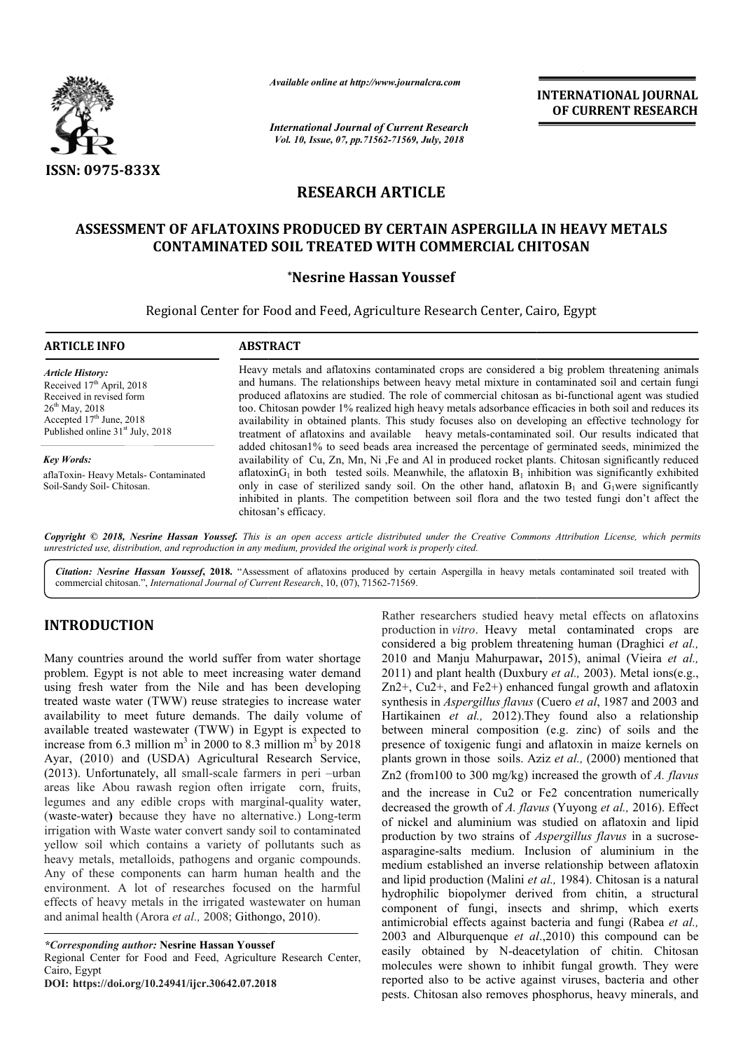

*Available online at http://www.journalcra.com*

*International Journal of Current Research Vol. 10, Issue, 07, pp.71562-71569, July, 2018*

**INTERNATIONAL JOURNAL OF CURRENT RESEARCH**

# **RESEARCH ARTICLE**

# ASSESSMENT OF AFLATOXINS PRODUCED BY CERTAIN ASPERGILLA IN HEAVY METALS<br>CONTAMINATED SOIL TREATED WITH COMMERCIAL CHITOSAN **CONTAMINATED SOIL T TREATED WITH COMMERCIAL CHITOSAN**

### **\*Nesrine Hassan Youssef**

Regional Center for Food and Feed, Agriculture Research Center, Cairo, Egypt Center, Cairo,

| <b>ARTICLE INFO</b>                                                                                                                                                                               | <b>ABSTRACT</b>                                                                                                                                                                                                                                                                                                                                                                                                                                                                                                                                                                                                               |
|---------------------------------------------------------------------------------------------------------------------------------------------------------------------------------------------------|-------------------------------------------------------------------------------------------------------------------------------------------------------------------------------------------------------------------------------------------------------------------------------------------------------------------------------------------------------------------------------------------------------------------------------------------------------------------------------------------------------------------------------------------------------------------------------------------------------------------------------|
| <b>Article History:</b><br>Received $17th$ April, 2018<br>Received in revised form<br>$26^{th}$ May, 2018<br>Accepted 17 <sup>th</sup> June, 2018<br>Published online 31 <sup>st</sup> July, 2018 | Heavy metals and aflatoxins contaminated crops are considered a big problem threatening animals<br>and humans. The relationships between heavy metal mixture in contaminated soil and certain fungi<br>produced aflatoxins are studied. The role of commercial chitosan as bi-functional agent was studied<br>too. Chitosan powder 1% realized high heavy metals adsorbance efficacies in both soil and reduces its<br>availability in obtained plants. This study focuses also on developing an effective technology for<br>treatment of aflatoxins and available heavy metals-contaminated soil. Our results indicated that |
| <b>Key Words:</b>                                                                                                                                                                                 | added chitosan1% to seed beads area increased the percentage of germinated seeds, minimized the<br>availability of Cu, Zn, Mn, Ni , Fe and Al in produced rocket plants. Chitosan significantly reduced                                                                                                                                                                                                                                                                                                                                                                                                                       |
| aflaToxin-Heavy Metals-Contaminated<br>Soil-Sandy Soil- Chitosan.                                                                                                                                 | aflatoxin $G_1$ in both tested soils. Meanwhile, the aflatoxin $B_1$ inhibition was significantly exhibited<br>only in case of sterilized sandy soil. On the other hand, aflatoxin $B_1$ and $G_1$ were significantly<br>inhibited in plants. The competition between soil flora and the two tested fungi don't affect the<br>chitosan's efficacy.                                                                                                                                                                                                                                                                            |

Copyright © 2018, Nesrine Hassan Youssef. This is an open access article distributed under the Creative Commons Attribution License, which permits *unrestricted use, distribution, and reproduction in any medium, provided the original work is properly cited.*

Citation: Nesrine Hassan Youssef, 2018. "Assessment of aflatoxins produced by certain Aspergilla in heavy metals contaminated soil treated with commercial chitosan.", *International Journal of Current Research* , 10, (07), 71562-71569.

# **INTRODUCTION**

Many countries around the world suffer from water shortage problem. Egypt is not able to meet increasing water demand using fresh water from the Nile and has been developing treated waste water (TWW) reuse strategies to increase water availability to meet future demands. The daily volume of available treated wastewater (TWW) in Egypt is expected to increase from 6.3 million  $m^3$  in 2000 to 8.3 million  $m^3$  by 2018 Ayar, (2010) and (USDA) Agricultural Research Service,  $(2013)$ . Unfortunately, all small-scale farmers in peri  $-\text{urban}$ areas like Abou rawash region often irrigate corn, fruits, legumes and any edible crops with marginal-quality water, (waste-water**)** because they have no alternative.) Long Long-term irrigation with Waste water convert sandy soil to contaminated yellow soil which contains a variety of pollutants such as heavy metals, metalloids, pathogens and organic compounds. Any of these components can harm human health and the environment. A lot of researches focused on the harmful effects of heavy metals in the irrigated wastewater on human f and animal health (Arora *et al.,* 2008; Githongo, 2010).

*\*Corresponding author:* **Nesrine Hassan Youssef** Regional Center for Food and Feed, Agriculture Research Center, Cairo, Egypt

**DOI: https://doi.org/10.24941/ijcr.30642.07.2018**

Rather researchers studied heavy metal effects on aflatoxins production in *vitro*. Heavy metal contaminated crops are considered a big problem threatening human (Draghici et al., 2010 and Manju Mahurpawar **,** 2015), animal (Vieira *et al.,*  2011) and plant health (Duxbury *et al.,* 2003). Metal ions(e.g., Zn2+, Cu2+, and Fe2+) enhanced fungal growth and aflatoxin synthesis in *Aspergillus flavus* (Cuero *et al*, 1987 and 2003 and Hartikainen *et al.,* 2012).They found also a relationship Hartikainen *et al.*, 2012). They found also a relationship between mineral composition (e.g. zinc) of soils and the presence of toxigenic fungi and aflatoxin in maize kernels on presence of plants grown in those soils. Aziz *et al.,* (2000) mentioned that Zn2 (from100 to 300 mg/kg) increased the growth of A. flavus and the increase in Cu2 or Fe2 concentration numerically decreased the growth of *A. flavus flavus* (Yuyong *et al.,* 2016). Effect of nickel and aluminium was studied on aflatoxin and lipid of nickel and aluminium was studied on aflatoxin and lipid<br>production by two strains of *Aspergillus flavus* in a sucroseasparagine-salts medium. Inclusion of aluminium in the medium established an inverse relationship between aflatoxin medium established an inverse relationship between aflatoxin and lipid production (Malini *et al.*, 1984). Chitosan is a natural hydrophilic biopolymer derived from chitin, a structural hydrophilic biopolymer derived from chitin, a structural component of fungi, insects and shrimp, which exerts antimicrobial effects against bacteria and fungi (Rabea *et al.,*  2003 and Alburquenque *et al* .,2010) this compound can be easily obtained by N-deacetylation of chitin. Chitosan molecules were shown to inhibit fungal growth. They were reported also to be active against viruses, bacteria and other pests. Chitosan also removes phosphorus, heavy minerals, and researchers studied heavy metal effects on aflatoxins<br>ion in *vitro*. Heavy metal contaminated crops are<br>red a big problem threatening human (Draghici *et al.*, INTERNATIONAL JOURNAL OF CURRENT RESEARCH OF CURRENT RESEARCH OF CURRENT RESEARCH CHITOSAN CHITOSAN CHITOSAN CHITOSAN CHITOSAN CORRENT CONSULT CONSULT CONSULT CONSULT CONSULT CONSULT CONSULT CONSULT CONSULT CONSULT CONSUL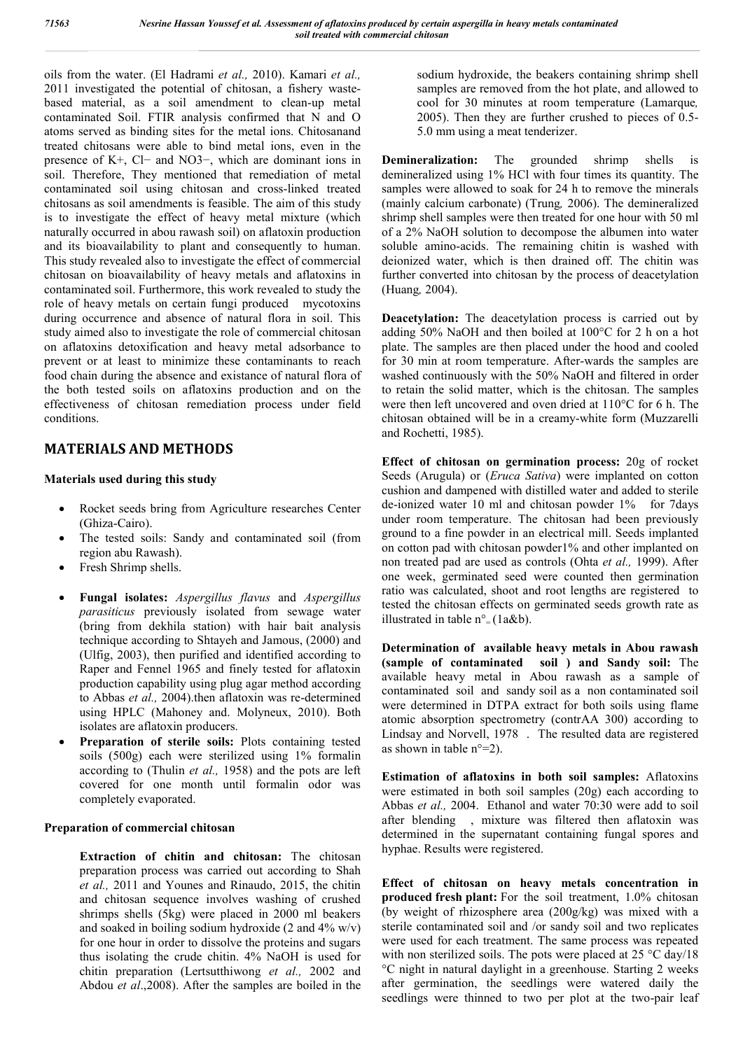oils from the water. (El Hadrami *et al.,* 2010). Kamari *et al.,*  2011 investigated the potential of chitosan, a fishery wastebased material, as a soil amendment to clean-up metal contaminated Soil. FTIR analysis confirmed that N and O atoms served as binding sites for the metal ions. Chitosanand treated chitosans were able to bind metal ions, even in the presence of K+, Cl− and NO3−, which are dominant ions in soil. Therefore, They mentioned that remediation of metal contaminated soil using chitosan and cross-linked treated chitosans as soil amendments is feasible. The aim of this study is to investigate the effect of heavy metal mixture (which naturally occurred in abou rawash soil) on aflatoxin production and its bioavailability to plant and consequently to human. This study revealed also to investigate the effect of commercial chitosan on bioavailability of heavy metals and aflatoxins in contaminated soil. Furthermore, this work revealed to study the role of heavy metals on certain fungi produced mycotoxins during occurrence and absence of natural flora in soil. This study aimed also to investigate the role of commercial chitosan on aflatoxins detoxification and heavy metal adsorbance to prevent or at least to minimize these contaminants to reach food chain during the absence and existance of natural flora of the both tested soils on aflatoxins production and on the effectiveness of chitosan remediation process under field conditions.

# **MATERIALS AND METHODS**

#### **Materials used during this study**

- Rocket seeds bring from Agriculture researches Center (Ghiza-Cairo).
- The tested soils: Sandy and contaminated soil (from region abu Rawash).
- Fresh Shrimp shells.
- **Fungal isolates:** *Aspergillus flavus* and *Aspergillus parasiticus* previously isolated from sewage water (bring from dekhila station) with hair bait analysis technique according to Shtayeh and Jamous, (2000) and (Ulfig, 2003), then purified and identified according to Raper and Fennel 1965 and finely tested for aflatoxin production capability using plug agar method according to Abbas *et al.,* 2004).then aflatoxin was re-determined using HPLC (Mahoney and. Molyneux, 2010). Both isolates are aflatoxin producers.
- **Preparation of sterile soils:** Plots containing tested soils (500g) each were sterilized using 1% formalin according to (Thulin *et al.,* 1958) and the pots are left covered for one month until formalin odor was completely evaporated.

#### **Preparation of commercial chitosan**

**Extraction of chitin and chitosan:** The chitosan preparation process was carried out according to Shah *et al.,* 2011 and Younes and Rinaudo, 2015, the chitin and chitosan sequence involves washing of crushed shrimps shells (5kg) were placed in 2000 ml beakers and soaked in boiling sodium hydroxide (2 and  $4\%$  w/v) for one hour in order to dissolve the proteins and sugars thus isolating the crude chitin. 4% NaOH is used for chitin preparation (Lertsutthiwong *et al.,* 2002 and Abdou *et al*.,2008). After the samples are boiled in the

sodium hydroxide, the beakers containing shrimp shell samples are removed from the hot plate, and allowed to cool for 30 minutes at room temperature (Lamarque*,* 2005). Then they are further crushed to pieces of 0.5- 5.0 mm using a meat tenderizer.

**Demineralization:** The grounded shrimp shells is demineralized using 1% HCl with four times its quantity. The samples were allowed to soak for 24 h to remove the minerals (mainly calcium carbonate) (Trung*,* 2006). The demineralized shrimp shell samples were then treated for one hour with 50 ml of a 2% NaOH solution to decompose the albumen into water soluble amino-acids. The remaining chitin is washed with deionized water, which is then drained off. The chitin was further converted into chitosan by the process of deacetylation (Huang*,* 2004).

**Deacetylation:** The deacetylation process is carried out by adding 50% NaOH and then boiled at 100°C for 2 h on a hot plate. The samples are then placed under the hood and cooled for 30 min at room temperature. After-wards the samples are washed continuously with the 50% NaOH and filtered in order to retain the solid matter, which is the chitosan. The samples were then left uncovered and oven dried at 110°C for 6 h. The chitosan obtained will be in a creamy-white form (Muzzarelli and Rochetti, 1985).

**Effect of chitosan on germination process:** 20g of rocket Seeds (Arugula) or (*Eruca Sativa*) were implanted on cotton cushion and dampened with distilled water and added to sterile de-ionized water 10 ml and chitosan powder 1% for 7days under room temperature. The chitosan had been previously ground to a fine powder in an electrical mill. Seeds implanted on cotton pad with chitosan powder1% and other implanted on non treated pad are used as controls (Ohta *et al.,* 1999). After one week, germinated seed were counted then germination ratio was calculated, shoot and root lengths are registered to tested the chitosan effects on germinated seeds growth rate as illustrated in table  $n^{\circ}$  (1a&b).

**Determination of available heavy metals in Abou rawash (sample of contaminated soil ) and Sandy soil:** The available heavy metal in Abou rawash as a sample of contaminated soil and sandy soil as a non contaminated soil were determined in DTPA extract for both soils using flame atomic absorption spectrometry (contrAA 300) according to Lindsay and Norvell, 1978 . The resulted data are registered as shown in table  $n^{\circ}=2$ ).

**Estimation of aflatoxins in both soil samples:** Aflatoxins were estimated in both soil samples (20g) each according to Abbas *et al.,* 2004. Ethanol and water 70:30 were add to soil after blending , mixture was filtered then aflatoxin was determined in the supernatant containing fungal spores and hyphae. Results were registered.

**Effect of chitosan on heavy metals concentration in produced fresh plant:** For the soil treatment, 1.0% chitosan (by weight of rhizosphere area (200g/kg) was mixed with a sterile contaminated soil and /or sandy soil and two replicates were used for each treatment. The same process was repeated with non sterilized soils. The pots were placed at 25 °C day/18 °C night in natural daylight in a greenhouse. Starting 2 weeks after germination, the seedlings were watered daily the seedlings were thinned to two per plot at the two-pair leaf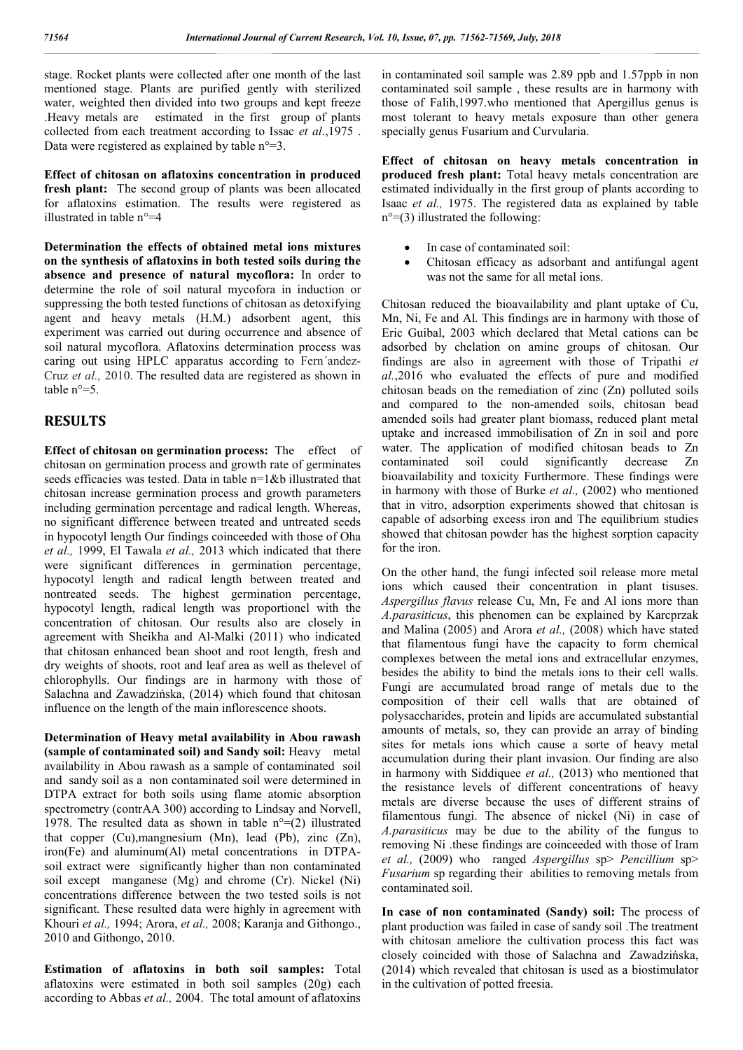stage. Rocket plants were collected after one month of the last mentioned stage. Plants are purified gently with sterilized water, weighted then divided into two groups and kept freeze .Heavy metals are estimated in the first group of plants collected from each treatment according to Issac *et al*.,1975 . Data were registered as explained by table  $n^{\circ}=3$ .

**Effect of chitosan on aflatoxins concentration in produced fresh plant:** The second group of plants was been allocated for aflatoxins estimation. The results were registered as illustrated in table n°=4

**Determination the effects of obtained metal ions mixtures on the synthesis of aflatoxins in both tested soils during the absence and presence of natural mycoflora:** In order to determine the role of soil natural mycofora in induction or suppressing the both tested functions of chitosan as detoxifying agent and heavy metals (H.M.) adsorbent agent, this experiment was carried out during occurrence and absence of soil natural mycoflora. Aflatoxins determination process was caring out using HPLC apparatus according to Fern´andez-Cruz *et al.,* 2010. The resulted data are registered as shown in table  $n^{\circ}=5$ 

### **RESULTS**

**Effect of chitosan on germination process:** The effect of chitosan on germination process and growth rate of germinates seeds efficacies was tested. Data in table n=1&b illustrated that chitosan increase germination process and growth parameters including germination percentage and radical length. Whereas, no significant difference between treated and untreated seeds in hypocotyl length Our findings coinceeded with those of Oha *et al.,* 1999, El Tawala *et al.,* 2013 which indicated that there were significant differences in germination percentage, hypocotyl length and radical length between treated and nontreated seeds. The highest germination percentage, hypocotyl length, radical length was proportionel with the concentration of chitosan. Our results also are closely in agreement with Sheikha and Al-Malki (2011) who indicated that chitosan enhanced bean shoot and root length, fresh and dry weights of shoots, root and leaf area as well as thelevel of chlorophylls. Our findings are in harmony with those of Salachna and Zawadzińska, (2014) which found that chitosan influence on the length of the main inflorescence shoots.

**Determination of Heavy metal availability in Abou rawash (sample of contaminated soil) and Sandy soil:** Heavy metal availability in Abou rawash as a sample of contaminated soil and sandy soil as a non contaminated soil were determined in DTPA extract for both soils using flame atomic absorption spectrometry (contrAA 300) according to Lindsay and Norvell, 1978. The resulted data as shown in table  $n^{\circ}=(2)$  illustrated that copper (Cu),mangnesium (Mn), lead (Pb), zinc (Zn), iron(Fe) and aluminum(Al) metal concentrations in DTPAsoil extract were significantly higher than non contaminated soil except manganese (Mg) and chrome (Cr). Nickel (Ni) concentrations difference between the two tested soils is not significant. These resulted data were highly in agreement with Khouri *et al.,* 1994; Arora, *et al.,* 2008; Karanja and Githongo., 2010 and Githongo, 2010.

**Estimation of aflatoxins in both soil samples:** Total aflatoxins were estimated in both soil samples (20g) each according to Abbas *et al.,* 2004. The total amount of aflatoxins in contaminated soil sample was 2.89 ppb and 1.57ppb in non contaminated soil sample , these results are in harmony with those of Falih,1997.who mentioned that Apergillus genus is most tolerant to heavy metals exposure than other genera specially genus Fusarium and Curvularia.

**Effect of chitosan on heavy metals concentration in produced fresh plant:** Total heavy metals concentration are estimated individually in the first group of plants according to Isaac *et al.,* 1975. The registered data as explained by table  $n^{\circ} = (3)$  illustrated the following:

- In case of contaminated soil:
- Chitosan efficacy as adsorbant and antifungal agent was not the same for all metal ions.

Chitosan reduced the bioavailability and plant uptake of Cu, Mn, Ni, Fe and Al. This findings are in harmony with those of Eric Guibal, 2003 which declared that Metal cations can be adsorbed by chelation on amine groups of chitosan. Our findings are also in agreement with those of Tripathi *et al.*,2016 who evaluated the effects of pure and modified chitosan beads on the remediation of zinc (Zn) polluted soils and compared to the non-amended soils, chitosan bead amended soils had greater plant biomass, reduced plant metal uptake and increased immobilisation of Zn in soil and pore water. The application of modified chitosan beads to Zn contaminated soil could significantly decrease Zn bioavailability and toxicity Furthermore. These findings were in harmony with those of Burke *et al.,* (2002) who mentioned that in vitro, adsorption experiments showed that chitosan is capable of adsorbing excess iron and The equilibrium studies showed that chitosan powder has the highest sorption capacity for the iron.

On the other hand, the fungi infected soil release more metal ions which caused their concentration in plant tisuses. *Aspergillus flavus* release Cu, Mn, Fe and Al ions more than *A.parasiticus*, this phenomen can be explained by Karcprzak and Malina (2005) and Arora *et al.,* (2008) which have stated that filamentous fungi have the capacity to form chemical complexes between the metal ions and extracellular enzymes, besides the ability to bind the metals ions to their cell walls. Fungi are accumulated broad range of metals due to the composition of their cell walls that are obtained of polysaccharides, protein and lipids are accumulated substantial amounts of metals, so, they can provide an array of binding sites for metals ions which cause a sorte of heavy metal accumulation during their plant invasion. Our finding are also in harmony with Siddiquee *et al.,* (2013) who mentioned that the resistance levels of different concentrations of heavy metals are diverse because the uses of different strains of filamentous fungi. The absence of nickel (Ni) in case of *A.parasiticus* may be due to the ability of the fungus to removing Ni .these findings are coinceeded with those of Iram *et al.,* (2009) who ranged *Aspergillus* sp> *Pencillium* sp> *Fusarium* sp regarding their abilities to removing metals from contaminated soil.

**In case of non contaminated (Sandy) soil:** The process of plant production was failed in case of sandy soil .The treatment with chitosan ameliore the cultivation process this fact was closely coincided with those of Salachna and Zawadzińska, (2014) which revealed that chitosan is used as a biostimulator in the cultivation of potted freesia.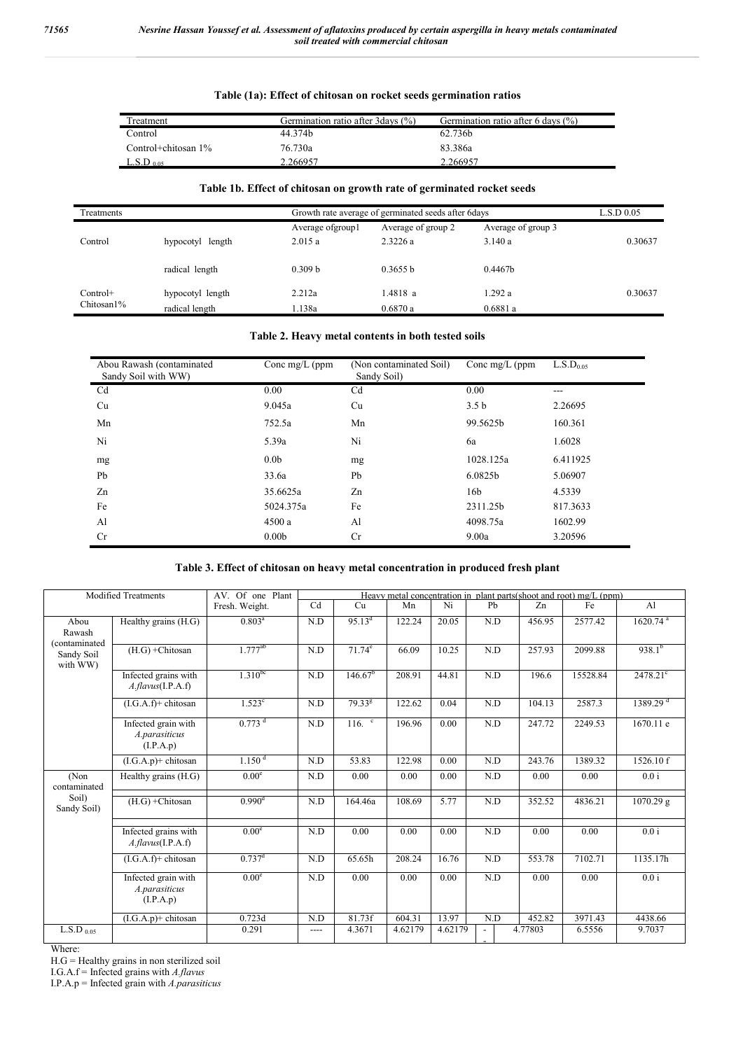j.

### **Table (1a): Effect of chitosan on rocket seeds germination ratios**

| Treatment           | Germination ratio after 3 days (%) | Germination ratio after 6 days $(\% )$ |
|---------------------|------------------------------------|----------------------------------------|
| Control             | 44.374b                            | 62.736b                                |
| Control+chitosan 1% | 76.730a                            | 83.386a                                |
| $\rm L.S.D$ 0.05.   | 2.266957                           | 2.266957                               |

#### **Table 1b. Effect of chitosan on growth rate of germinated rocket seeds**

| Treatments               |                                    | Growth rate average of germinated seeds after 6days |                               | L.S.D.0.05                   |         |
|--------------------------|------------------------------------|-----------------------------------------------------|-------------------------------|------------------------------|---------|
| Control                  | hypocotyl length                   | Average of group!<br>2.015a                         | Average of group 2<br>2.3226a | Average of group 3<br>3.140a | 0.30637 |
|                          | radical length                     | 0.309 <sub>b</sub>                                  | 0.3655 h                      | 0.4467 <sub>b</sub>          |         |
| $Control+$<br>Chitosan1% | hypocotyl length<br>radical length | 2.212a<br>.138a                                     | 1.4818 a<br>0.6870a           | 1.292 a<br>0.6881a           | 0.30637 |

#### **Table 2. Heavy metal contents in both tested soils**

| Abou Rawash (contaminated<br>Sandy Soil with WW) | Conc mg/L ( $ppm$ | (Non contaminated Soil)<br>Sandy Soil) | Conc mg/L ( $ppm$ | L.S.D <sub>0.05</sub> |
|--------------------------------------------------|-------------------|----------------------------------------|-------------------|-----------------------|
| C <sub>d</sub>                                   | 0.00              | C <sub>d</sub>                         | 0.00              | ---                   |
| Cu                                               | 9.045a            | Cu                                     | 3.5 <sub>b</sub>  | 2.26695               |
| Mn                                               | 752.5a            | Mn                                     | 99.5625b          | 160.361               |
| Ni                                               | 5.39a             | Ni                                     | 6a                | 1.6028                |
| mg                                               | 0.0 <sub>b</sub>  | mg                                     | 1028.125a         | 6.411925              |
| Pb                                               | 33.6a             | Pb                                     | 6.0825b           | 5.06907               |
| Zn                                               | 35.6625a          | Zn                                     | 16b               | 4.5339                |
| Fe                                               | 5024.375a         | Fe                                     | 2311.25b          | 817.3633              |
| Al                                               | 4500a             | Al                                     | 4098.75a          | 1602.99               |
| <b>Cr</b>                                        | 0.00 <sub>b</sub> | <b>Cr</b>                              | 9.00a             | 3.20596               |

#### **Table 3. Effect of chitosan on heavy metal concentration in produced fresh plant**

| <b>Modified Treatments</b>      |                                                   | AV. Of one Plant     |      |                     |         |         |     |         | Heavy metal concentration in plant parts (shoot and root) mg/L (ppm) |                        |
|---------------------------------|---------------------------------------------------|----------------------|------|---------------------|---------|---------|-----|---------|----------------------------------------------------------------------|------------------------|
|                                 |                                                   | Fresh. Weight.       | Cd   | Cu                  | Mn      | Ni      | Pb  | Zn      | Fe                                                                   | $\mathbf{A}$ l         |
| Abou<br>Rawash<br>(contaminated | Healthy grains $(H.G)$                            | $0.803^a$            | N.D  | 95.13 <sup>d</sup>  | 122.24  | 20.05   | N.D | 456.95  | 2577.42                                                              | $1620.74$ <sup>a</sup> |
| Sandy Soil<br>with WW)          | $(H.G) + Chitosan$                                | $1.777^{ab}$         | N.D  | $71.74^e$           | 66.09   | 10.25   | N.D | 257.93  | 2099.88                                                              | $938.1^{b}$            |
|                                 | Infected grains with<br>$A$ .flavus(I.P.A.f)      | $1.310^{bc}$         | N.D  | 146.67 <sup>b</sup> | 208.91  | 44.81   | N.D | 196.6   | 15528.84                                                             | $2478.21^{\circ}$      |
|                                 | $(I.G.A.f)+$ chitosan                             | $1.523^{\circ}$      | N.D  | $79.33^{8}$         | 122.62  | 0.04    | N.D | 104.13  | 2587.3                                                               | 1389.29 <sup>d</sup>   |
|                                 | Infected grain with<br>A.parasiticus<br>(I.P.A.p) | $0.773$ <sup>d</sup> | N.D  | $116.$ $\degree$    | 196.96  | 0.00    | N.D | 247.72  | 2249.53                                                              | 1670.11 e              |
|                                 | $(I.G.A.p)+$ chitosan                             | 1.150 <sup>d</sup>   | N.D  | 53.83               | 122.98  | 0.00    | N.D | 243.76  | 1389.32                                                              | 1526.10 f              |
| (Non<br>contaminated            | Healthy grains (H.G)                              | 0.00 <sup>e</sup>    | N.D  | 0.00                | 0.00    | 0.00    | N.D | 0.00    | 0.00                                                                 | 0.0 i                  |
| Soil)<br>Sandy Soil)            | $(H.G) + Chitosan$                                | 0.990 <sup>d</sup>   | N.D  | 164.46a             | 108.69  | 5.77    | N.D | 352.52  | 4836.21                                                              | 1070.29 g              |
|                                 | Infected grains with<br>$A$ .flavus(I.P.A.f)      | 0.00 <sup>e</sup>    | N.D  | 0.00                | 0.00    | 0.00    | N.D | 0.00    | 0.00                                                                 | 0.0 i                  |
|                                 | $(I.G.A.f)+$ chitosan                             | $0.737^d$            | N.D  | 65.65h              | 208.24  | 16.76   | N.D | 553.78  | 7102.71                                                              | 1135.17h               |
|                                 | Infected grain with<br>A.parasiticus<br>(I.P.A.p) | 0.00 <sup>e</sup>    | N.D  | 0.00                | 0.00    | 0.00    | N.D | 0.00    | 0.00                                                                 | 0.0 i                  |
|                                 | $(I.G.A.p)+$ chitosan                             | 0.723d               | N.D  | 81.73f              | 604.31  | 13.97   | N.D | 452.82  | 3971.43                                                              | 4438.66                |
| $L.S.D$ 0.05                    |                                                   | 0.291                | ---- | 4.3671              | 4.62179 | 4.62179 |     | 4.77803 | 6.5556                                                               | 9.7037                 |

Where:

H.G = Healthy grains in non sterilized soil

I.G.A.f = Infected grains with *A.flavus*

I.P.A.p = Infected grain with *A.parasiticus*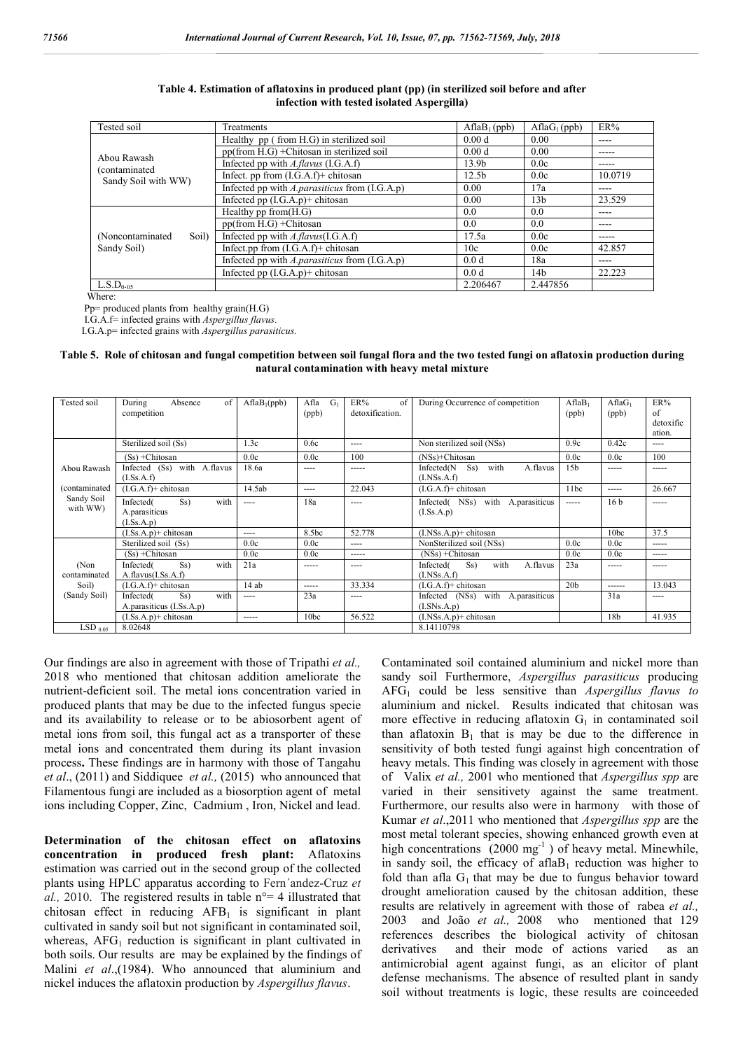| Tested soil                  | Treatments                                                 | $AflaB_1(ppb)$    | AflaG <sub>1</sub> (ppb) | ER%       |
|------------------------------|------------------------------------------------------------|-------------------|--------------------------|-----------|
|                              | Healthy pp (from H.G) in sterilized soil                   | 0.00 <sub>d</sub> | 0.00                     | ----      |
|                              | pp(from H.G) + Chitosan in sterilized soil                 | 0.00 <sub>d</sub> | 0.00                     | -----     |
| Abou Rawash<br>(contaminated | Infected pp with A.flavus (I.G.A.f)                        | 13.9 <sub>b</sub> | 0.0c                     | -----     |
| Sandy Soil with WW)          | Infect. pp from $(I.G.A.f)+$ chitosan                      | 12.5 <sub>b</sub> | 0.0c                     | 10.0719   |
|                              | Infected pp with $A$ , <i>parasiticus</i> from $(I.G.A.p)$ | 0.00              | 17a                      | $---$     |
|                              | Infected pp (I.G.A.p)+ chitosan                            | 0.00              | 13 <sub>b</sub>          | 23.529    |
|                              | Healthy $pp from (H.G)$                                    | 0.0               | 0.0                      | $---$     |
|                              | $pp(from H.G) + Chitosan$                                  | 0.0               | 0.0                      | $- - - -$ |
| (Noncontaminated)<br>Soil)   | Infected pp with $A$ : flavus(I.G.A.f)                     | 17.5a             | 0.0c                     | -----     |
| Sandy Soil)                  | Infect.pp from $(LG.A.f)+$ chitosan                        | 10c               | 0.0c                     | 42.857    |
|                              | Infected pp with A.parasiticus from (I.G.A.p)              | 0.0 <sub>d</sub>  | 18a                      | $---$     |
|                              | Infected pp $(I.G.A.p)+$ chitosan                          | 0.0 <sub>d</sub>  | 14 <sub>b</sub>          | 22.223    |
| L.S.D <sub>0.05</sub>        |                                                            | 2.206467          | 2.447856                 |           |

**Table 4. Estimation of aflatoxins in produced plant (pp) (in sterilized soil before and after infection with tested isolated Aspergilla)**

Where:

Pp= produced plants from healthy grain(H.G)

I.G.A.f= infected grains with *Aspergillus flavus*.

I.G.A.p= infected grains with *Aspergillus parasiticus.*

**Table 5. Role of chitosan and fungal competition between soil fungal flora and the two tested fungi on aflatoxin production during natural contamination with heavy metal mixture**

| Tested soil            | of<br>During<br>Absence<br>competition                  | AflaB <sub>1</sub> (ppb) | Afla<br>$G_1$<br>(ppb) | ER%<br>of<br>detoxification. | During Occurrence of competition                                | AflaB <sub>1</sub><br>(ppb) | $AflaG_1$<br>(ppb) | ER%<br>of<br>detoxific<br>ation. |
|------------------------|---------------------------------------------------------|--------------------------|------------------------|------------------------------|-----------------------------------------------------------------|-----------------------------|--------------------|----------------------------------|
|                        | Sterilized soil (Ss)                                    | 1.3c                     | 0.6c                   | $- - - -$                    | Non sterilized soil (NSs)                                       | 0.9c                        | 0.42c              | $\cdots$                         |
|                        | (Ss) + Chitosan                                         | 0.0c                     | 0.0c                   | 100                          | (NSs)+Chitosan                                                  | 0.0c                        | 0.0c               | 100                              |
| Abou Rawash            | with A.flavus<br>Infected (Ss)<br>(I.Ss.A.f)            | 18.6a                    | $\frac{1}{2}$          | $- - - - -$                  | Infected(N<br>S <sub>S</sub><br>with<br>A.flavus<br>(I.NSs.A.f) | 15 <sub>b</sub>             | -----              | -----                            |
| (contaminated          | $(I.G.A.f)+$ chitosan                                   | 14.5ab                   | $\frac{1}{2}$          | 22.043                       | $(I.G.A.f)+$ chitosan                                           | 11bc                        | -----              | 26.667                           |
| Sandy Soil<br>with WW) | Infected(<br>Ss)<br>with<br>A.parasiticus<br>(I.Ss.A.p) | $---$                    | 18a                    | $- - - -$                    | with<br>Infected(NSs)<br>A.parasiticus<br>(I.Ss.A.p)            | $- - - - -$                 | 16 <sub>b</sub>    | -----                            |
|                        | $(I.Ss.A.p)+$ chitosan                                  | $- - - -$                | 8.5bc                  | 52.778                       | $(LNSs.A.p)+$ chitosan                                          |                             | 10bc               | 37.5                             |
|                        | Sterilized soil (Ss)                                    | 0.0c                     | 0.0c                   | $- - - -$                    | NonSterilized soil (NSs)                                        | 0.0c                        | 0.0c               | -----                            |
|                        | (Ss) + Chitosan                                         | 0.0c                     | 0.0c                   | -----                        | $(NSs) + Chitosan$                                              | 0.0c                        | 0.0c               | $- - - - -$                      |
| (Non<br>contaminated   | with<br>Ss)<br>Infected(<br>A.flavus(I.Ss.A.f)          | 21a                      | $- - - - -$            | $--- -$                      | with<br>A.flavus<br>Infected(<br>Ss)<br>(I.NSs.A.f)             | 23a                         | -----              | -----                            |
| Soil)                  | $(I.G.A.f)+$ chitosan                                   | 14ab                     | -----                  | 33.334                       | $(LG.A.f)+$ chitosan                                            | 20 <sub>b</sub>             | ------             | 13.043                           |
| (Sandy Soil)           | with<br>Ss)<br>Infected(<br>A.parasiticus (I.Ss.A.p)    | $---$                    | 23a                    | $- - - -$                    | with A.parasiticus<br>Infected<br>(NSs)<br>(I.SNs.A.p)          |                             | 31a                | $\frac{1}{2}$                    |
|                        | $(I.Ss.A.p)+$ chitosan                                  | -----                    | 10 <sub>bc</sub>       | 56.522                       | $(LNSs.A.p)+$ chitosan                                          |                             | 18 <sub>b</sub>    | 41.935                           |
| $LSD_{0.05}$           | 8.02648                                                 |                          |                        |                              | 8.14110798                                                      |                             |                    |                                  |

Our findings are also in agreement with those of Tripathi *et al.,*  2018 who mentioned that chitosan addition ameliorate the nutrient-deficient soil. The metal ions concentration varied in produced plants that may be due to the infected fungus specie and its availability to release or to be abiosorbent agent of metal ions from soil, this fungal act as a transporter of these metal ions and concentrated them during its plant invasion process**.** These findings are in harmony with those of Tangahu *et al*., (2011) and Siddiquee*et al.,* (2015)who announced that Filamentous fungi are included as a biosorption agent of metal ions including Copper, Zinc, Cadmium , Iron, Nickel and lead.

**Determination of the chitosan effect on aflatoxins concentration in produced fresh plant:** Aflatoxins estimation was carried out in the second group of the collected plants using HPLC apparatus according to Fern´andez-Cruz *et al.,* 2010. The registered results in table n°= 4 illustrated that chitosan effect in reducing  $AFB<sub>1</sub>$  is significant in plant cultivated in sandy soil but not significant in contaminated soil, whereas,  $AFG<sub>1</sub>$  reduction is significant in plant cultivated in both soils. Our results are may be explained by the findings of Malini *et al*.,(1984). Who announced that aluminium and nickel induces the aflatoxin production by *Aspergillus flavus*.

Contaminated soil contained aluminium and nickel more than sandy soil Furthermore, *Aspergillus parasiticus* producing AFG1 could be less sensitive than *Aspergillus flavus to*  aluminium and nickel. Results indicated that chitosan was more effective in reducing aflatoxin  $G_1$  in contaminated soil than aflatoxin  $B_1$  that is may be due to the difference in sensitivity of both tested fungi against high concentration of heavy metals. This finding was closely in agreement with those of Valix *et al.,* 2001 who mentioned that *Aspergillus spp* are varied in their sensitivety against the same treatment. Furthermore, our results also were in harmony with those of Kumar *et al*.,2011 who mentioned that *Aspergillus spp* are the most metal tolerant species, showing enhanced growth even at high concentrations  $(2000 \text{ mg}^{-1})$  of heavy metal. Minewhile, in sandy soil, the efficacy of afla $B_1$  reduction was higher to fold than afla  $G_1$  that may be due to fungus behavior toward drought amelioration caused by the chitosan addition, these results are relatively in agreement with those of rabea *et al.,*  2003 and João *et al.,* 2008 who mentioned that 129 references describes the biological activity of chitosan derivatives and their mode of actions varied as an antimicrobial agent against fungi, as an elicitor of plant defense mechanisms. The absence of resulted plant in sandy soil without treatments is logic, these results are coinceeded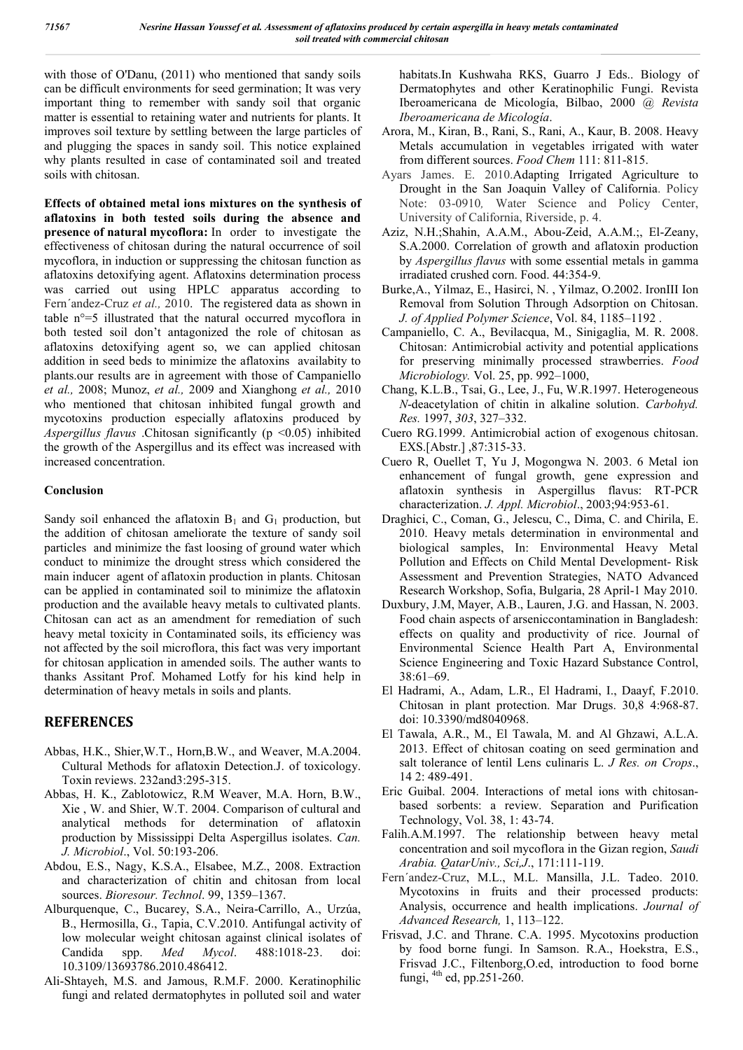with those of O'Danu, (2011) who mentioned that sandy soils can be difficult environments for seed germination; It was very important thing to remember with sandy soil that organic matter is essential to retaining water and nutrients for plants. It improves soil texture by settling between the large particles of and plugging the spaces in sandy soil. This notice explained why plants resulted in case of contaminated soil and treated soils with chitosan.

**Effects of obtained metal ions mixtures on the synthesis of aflatoxins in both tested soils during the absence and presence of natural mycoflora:** In order to investigate the effectiveness of chitosan during the natural occurrence of soil mycoflora, in induction or suppressing the chitosan function as aflatoxins detoxifying agent. Aflatoxins determination process was carried out using HPLC apparatus according to Fern´andez-Cruz *et al.,* 2010. The registered data as shown in table n°=5 illustrated that the natural occurred mycoflora in both tested soil don't antagonized the role of chitosan as aflatoxins detoxifying agent so, we can applied chitosan addition in seed beds to minimize the aflatoxins availabity to plants.our results are in agreement with those of Campaniello *et al.,* 2008; Munoz, *et al.,* 2009 and Xianghong *et al.,* 2010 who mentioned that chitosan inhibited fungal growth and mycotoxins production especially aflatoxins produced by *Aspergillus flavus* .Chitosan significantly (p <0.05) inhibited the growth of the Aspergillus and its effect was increased with increased concentration.

### **Conclusion**

Sandy soil enhanced the aflatoxin  $B_1$  and  $G_1$  production, but the addition of chitosan ameliorate the texture of sandy soil particles and minimize the fast loosing of ground water which conduct to minimize the drought stress which considered the main inducer agent of aflatoxin production in plants. Chitosan can be applied in contaminated soil to minimize the aflatoxin production and the available heavy metals to cultivated plants. Chitosan can act as an amendment for remediation of such heavy metal toxicity in Contaminated soils, its efficiency was not affected by the soil microflora, this fact was very important for chitosan application in amended soils. The auther wants to thanks Assitant Prof. Mohamed Lotfy for his kind help in determination of heavy metals in soils and plants.

# **REFERENCES**

- Abbas, H.K., Shier,W.T., Horn,B.W., and Weaver, M.A.2004. Cultural Methods for aflatoxin Detection.J. of toxicology. Toxin reviews. 232and3:295-315.
- Abbas, H. K., Zablotowicz, R.M Weaver, M.A. Horn, B.W., Xie , W. and Shier, W.T. 2004. Comparison of cultural and analytical methods for determination of aflatoxin production by Mississippi Delta Aspergillus isolates. *Can. J. Microbiol*., Vol. 50:193-206.
- Abdou, E.S., Nagy, K.S.A., Elsabee, M.Z., 2008. Extraction and characterization of chitin and chitosan from local sources. *Bioresour. Technol*. 99, 1359–1367.
- Alburquenque, C., Bucarey, S.A., Neira-Carrillo, A., Urzúa, B., Hermosilla, G., Tapia, C.V.2010. Antifungal activity of low molecular weight chitosan against clinical isolates of Candida spp. *Med Mycol*. 488:1018-23. doi: 10.3109/13693786.2010.486412.
- Ali-Shtayeh, M.S. and Jamous, R.M.F. 2000. Keratinophilic fungi and related dermatophytes in polluted soil and water

habitats.In Kushwaha RKS, Guarro J Eds.. Biology of Dermatophytes and other Keratinophilic Fungi. Revista Iberoamericana de Micología, Bilbao, 2000 @ *Revista Iberoamericana de Micología*.

- Arora, M., Kiran, B., Rani, S., Rani, A., Kaur, B. 2008. Heavy Metals accumulation in vegetables irrigated with water from different sources. *Food Chem* 111: 811-815.
- Ayars James. E. 2010.Adapting Irrigated Agriculture to Drought in the San Joaquin Valley of California. Policy Note: 03-0910*,* Water Science and Policy Center, University of California, Riverside, p. 4.
- Aziz, N.H.;Shahin, A.A.M., Abou-Zeid, A.A.M.;, El-Zeany, S.A.2000. Correlation of growth and aflatoxin production by *Aspergillus flavus* with some essential metals in gamma irradiated crushed corn. Food. 44:354-9.
- Burke,A., Yilmaz, E., Hasirci, N. , Yilmaz, O.2002. IronIII Ion Removal from Solution Through Adsorption on Chitosan. *J. of Applied Polymer Science*, Vol. 84, 1185–1192 .
- Campaniello, C. A., Bevilacqua, M., Sinigaglia, M. R. 2008. Chitosan: Antimicrobial activity and potential applications for preserving minimally processed strawberries. *Food Microbiology.* Vol. 25, pp. 992–1000,
- Chang, K.L.B., Tsai, G., Lee, J., Fu, W.R.1997. Heterogeneous *N*-deacetylation of chitin in alkaline solution. *Carbohyd. Res.* 1997, *303*, 327–332.
- Cuero RG.1999. Antimicrobial action of exogenous chitosan. EXS.[Abstr.] ,87:315-33.
- Cuero R, Ouellet T, Yu J, Mogongwa N. 2003. 6 Metal ion enhancement of fungal growth, gene expression and aflatoxin synthesis in Aspergillus flavus: RT-PCR characterization. *J. Appl. Microbiol*., 2003;94:953-61.
- Draghici, C., Coman, G., Jelescu, C., Dima, C. and Chirila, E. 2010. Heavy metals determination in environmental and biological samples, In: Environmental Heavy Metal Pollution and Effects on Child Mental Development- Risk Assessment and Prevention Strategies, NATO Advanced Research Workshop, Sofia, Bulgaria, 28 April-1 May 2010.
- Duxbury, J.M, Mayer, A.B., Lauren, J.G. and Hassan, N. 2003. Food chain aspects of arseniccontamination in Bangladesh: effects on quality and productivity of rice. Journal of Environmental Science Health Part A, Environmental Science Engineering and Toxic Hazard Substance Control, 38:61–69.
- El Hadrami, A., Adam, L.R., El Hadrami, I., Daayf, F.2010. Chitosan in plant protection. Mar Drugs. 30,8 4:968-87. doi: 10.3390/md8040968.
- El Tawala, A.R., M., El Tawala, M. and Al Ghzawi, A.L.A. 2013. Effect of chitosan coating on seed germination and salt tolerance of lentil Lens culinaris L. *J Res. on Crops*., 14 2: 489-491.
- Eric Guibal. 2004. Interactions of metal ions with chitosanbased sorbents: a review. Separation and Purification Technology, Vol. 38, 1: 43-74.
- Falih.A.M.1997. The relationship between heavy metal concentration and soil mycoflora in the Gizan region, *Saudi Arabia. QatarUniv., Sci,J*., 171:111-119.
- Fern´andez-Cruz, M.L., M.L. Mansilla, J.L. Tadeo. 2010. Mycotoxins in fruits and their processed products: Analysis, occurrence and health implications. *Journal of Advanced Research,* 1, 113–122.
- Frisvad, J.C. and Thrane. C.A. 1995. Mycotoxins production by food borne fungi. In Samson. R.A., Hoekstra, E.S., Frisvad J.C., Filtenborg,O.ed, introduction to food borne fungi, 4th ed, pp.251-260.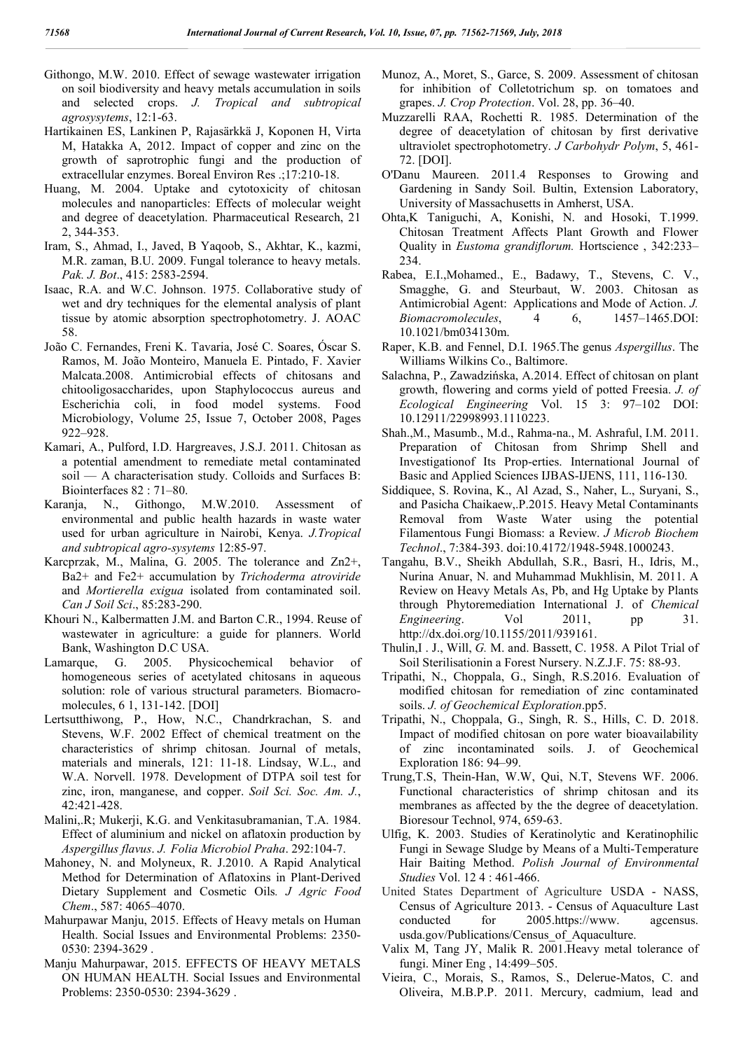- Githongo, M.W. 2010. Effect of sewage wastewater irrigation on soil biodiversity and heavy metals accumulation in soils and selected crops. *J. Tropical and subtropical agrosysytems*, 12:1-63.
- Hartikainen ES, Lankinen P, Rajasӓrkkӓ J, Koponen H, Virta M, Hatakka A, 2012. Impact of copper and zinc on the growth of saprotrophic fungi and the production of extracellular enzymes. Boreal Environ Res .;17:210-18.
- Huang, M. 2004. Uptake and cytotoxicity of chitosan molecules and nanoparticles: Effects of molecular weight and degree of deacetylation. Pharmaceutical Research, 21 2, 344-353.
- Iram, S., Ahmad, I., Javed, B Yaqoob, S., Akhtar, K., kazmi, M.R. zaman, B.U. 2009. Fungal tolerance to heavy metals. *Pak. J. Bot*., 415: 2583-2594.
- Isaac, R.A. and W.C. Johnson. 1975. Collaborative study of wet and dry techniques for the elemental analysis of plant tissue by atomic absorption spectrophotometry. J. AOAC 58.
- João C. Fernandes, Freni K. Tavaria, José C. Soares, Óscar S. Ramos, M. João Monteiro, Manuela E. Pintado, F. Xavier Malcata.2008. Antimicrobial effects of chitosans and chitooligosaccharides, upon Staphylococcus aureus and Escherichia coli, in food model systems. Food Microbiology, Volume 25, Issue 7, October 2008, Pages 922–928.
- Kamari, A., Pulford, I.D. Hargreaves, J.S.J. 2011. Chitosan as a potential amendment to remediate metal contaminated soil — A characterisation study. Colloids and Surfaces B: Biointerfaces 82 : 71–80.
- Karanja, N., Githongo, M.W.2010. Assessment of environmental and public health hazards in waste water used for urban agriculture in Nairobi, Kenya. *J.Tropical and subtropical agro-sysytems* 12:85-97.
- Karcprzak, M., Malina, G. 2005. The tolerance and Zn2+, Ba2+ and Fe2+ accumulation by *Trichoderma atroviride*  and *Mortierella exigua* isolated from contaminated soil. *Can J Soil Sci*., 85:283-290.
- Khouri N., Kalbermatten J.M. and Barton C.R., 1994. Reuse of wastewater in agriculture: a guide for planners. World Bank, Washington D.C USA.
- Lamarque, G. 2005. Physicochemical behavior of homogeneous series of acetylated chitosans in aqueous solution: role of various structural parameters. Biomacromolecules, 6 1, 131-142. [DOI]
- Lertsutthiwong, P., How, N.C., Chandrkrachan, S. and Stevens, W.F. 2002 Effect of chemical treatment on the characteristics of shrimp chitosan. Journal of metals, materials and minerals, 121: 11-18. Lindsay, W.L., and W.A. Norvell. 1978. Development of DTPA soil test for zinc, iron, manganese, and copper. *Soil Sci. Soc. Am. J.*, 42:421-428.
- Malini,.R; Mukerji, K.G. and Venkitasubramanian, T.A. 1984. Effect of aluminium and nickel on aflatoxin production by *Aspergillus flavus*. *J. Folia Microbiol Praha*. 292:104-7.
- Mahoney, N. and Molyneux, R. J.2010. A Rapid Analytical Method for Determination of Aflatoxins in Plant-Derived Dietary Supplement and Cosmetic Oils*. J Agric Food Chem*., 587: 4065–4070.
- Mahurpawar Manju, 2015. Effects of Heavy metals on Human Health. Social Issues and Environmental Problems: 2350- 0530: 2394-3629 .
- Manju Mahurpawar, 2015. EFFECTS OF HEAVY METALS ON HUMAN HEALTH. Social Issues and Environmental Problems: 2350-0530: 2394-3629 .
- Munoz, A., Moret, S., Garce, S. 2009. Assessment of chitosan for inhibition of Colletotrichum sp. on tomatoes and grapes. *J. Crop Protection*. Vol. 28, pp. 36–40.
- Muzzarelli RAA, Rochetti R. 1985. Determination of the degree of deacetylation of chitosan by first derivative ultraviolet spectrophotometry. *J Carbohydr Polym*, 5, 461- 72. [DOI].
- O'Danu Maureen. 2011.4 Responses to Growing and Gardening in Sandy Soil. Bultin, Extension Laboratory, University of Massachusetts in Amherst, USA.
- Ohta,K Taniguchi, A, Konishi, N. and Hosoki, T.1999. Chitosan Treatment Affects Plant Growth and Flower Quality in *Eustoma grandiflorum.* Hortscience , 342:233– 234.
- Rabea, E.I.,Mohamed., E., Badawy, T., Stevens, C. V., Smagghe, G. and Steurbaut, W. 2003. Chitosan as Antimicrobial Agent:  Applications and Mode of Action. *J. Biomacromolecules*, 4 6, 1457–1465.DOI: 10.1021/bm034130m.
- Raper, K.B. and Fennel, D.I. 1965.The genus *Aspergillus*. The Williams Wilkins Co., Baltimore.
- Salachna, P., Zawadzińska, A.2014. Effect of chitosan on plant growth, flowering and corms yield of potted Freesia. *J. of Ecological Engineering* Vol. 15 3: 97–102 DOI: 10.12911/22998993.1110223.
- Shah.,M., Masumb., M.d., Rahma-na., M. Ashraful, I.M. 2011. Preparation of Chitosan from Shrimp Shell and Investigationof Its Prop-erties. International Journal of Basic and Applied Sciences IJBAS-IJENS, 111, 116-130.
- Siddiquee, S. Rovina, K., Al Azad, S., Naher, L., Suryani, S., and Pasicha Chaikaew,.P.2015. Heavy Metal Contaminants Removal from Waste Water using the potential Filamentous Fungi Biomass: a Review. *J Microb Biochem Technol*., 7:384-393. doi:10.4172/1948-5948.1000243.
- Tangahu, B.V., Sheikh Abdullah, S.R., Basri, H., Idris, M., Nurina Anuar, N. and Muhammad Mukhlisin, M. 2011. A Review on Heavy Metals As, Pb, and Hg Uptake by Plants through Phytoremediation International J. of *Chemical Engineering.* Vol 2011, pp 31. http://dx.doi.org/10.1155/2011/939161.
- Thulin,I . J., Will, *G.* M. and. Bassett, C. 1958. A Pilot Trial of Soil Sterilisationin a Forest Nursery. N.Z.J.F. 75: 88-93.
- Tripathi, N., Choppala, G., Singh, R.S.2016. Evaluation of modified chitosan for remediation of zinc contaminated soils. *J. of Geochemical Exploration*.pp5.
- Tripathi, N., Choppala, G., Singh, R. S., Hills, C. D. 2018. Impact of modified chitosan on pore water bioavailability of zinc incontaminated soils. J. of Geochemical Exploration 186: 94–99.
- Trung,T.S, Thein-Han, W.W, Qui, N.T, Stevens WF. 2006. Functional characteristics of shrimp chitosan and its membranes as affected by the the degree of deacetylation. Bioresour Technol, 974, 659-63.
- Ulfig, K. 2003. Studies of Keratinolytic and Keratinophilic Fungi in Sewage Sludge by Means of a Multi-Temperature Hair Baiting Method. *Polish Journal of Environmental Studies* Vol. 12 4 : 461-466.
- United States Department of Agriculture USDA NASS, Census of Agriculture 2013. - Census of Aquaculture Last conducted for 2005.https://www. agcensus. usda.gov/Publications/Census\_of\_Aquaculture.
- Valix M, Tang JY, Malik R. 2001.Heavy metal tolerance of fungi. Miner Eng , 14:499–505.
- Vieira, C., Morais, S., Ramos, S., Delerue-Matos, C. and Oliveira, M.B.P.P. 2011. Mercury, cadmium, lead and